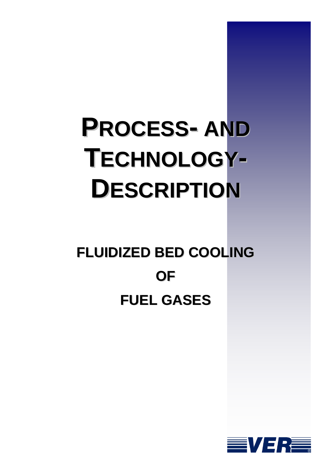# **PROCESS- AND TECHNOLOGY-DESCRIPTION**

## **FLUIDIZED BED COOLING OF FUEL GASES**

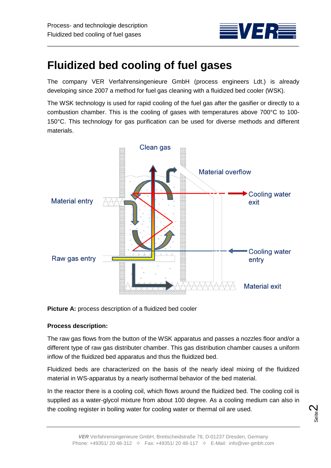

### **Fluidized bed cooling of fuel gases**

The company VER Verfahrensingenieure GmbH (process engineers Ldt.) is already developing since 2007 a method for fuel gas cleaning with a fluidized bed cooler (WSK).

The WSK technology is used for rapid cooling of the fuel gas after the gasifier or directly to a combustion chamber. This is the cooling of gases with temperatures above 700°C to 100- 150°C. This technology for gas purification can be used for diverse methods and different materials.



**Picture A:** process description of a fluidized bed cooler

#### **Process description:**

The raw gas flows from the button of the WSK apparatus and passes a nozzles floor and/or a different type of raw gas distributer chamber. This gas distribution chamber causes a uniform inflow of the fluidized bed apparatus and thus the fluidized bed.

Fluidized beds are characterized on the basis of the nearly ideal mixing of the fluidized material in WS-apparatus by a nearly isothermal behavior of the bed material.

In the reactor there is a cooling coil, which flows around the fluidized bed. The cooling coil is supplied as a water-glycol mixture from about 100 degree. As a cooling medium can also in the cooling register in boiling water for cooling water or thermal oil are used.

$$
\mathop{\rm Seile}\nolimits
$$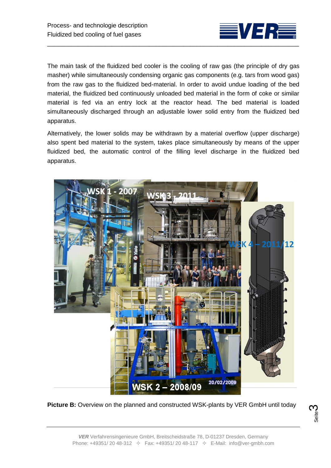

The main task of the fluidized bed cooler is the cooling of raw gas (the principle of dry gas masher) while simultaneously condensing organic gas components (e.g. tars from wood gas) from the raw gas to the fluidized bed-material. In order to avoid undue loading of the bed material, the fluidized bed continuously unloaded bed material in the form of coke or similar material is fed via an entry lock at the reactor head. The bed material is loaded simultaneously discharged through an adjustable lower solid entry from the fluidized bed apparatus.

Alternatively, the lower solids may be withdrawn by a material overflow (upper discharge) also spent bed material to the system, takes place simultaneously by means of the upper fluidized bed, the automatic control of the filling level discharge in the fluidized bed apparatus.



**Picture B:** Overview on the planned and constructed WSK-plants by VER GmbH until today

Seite ო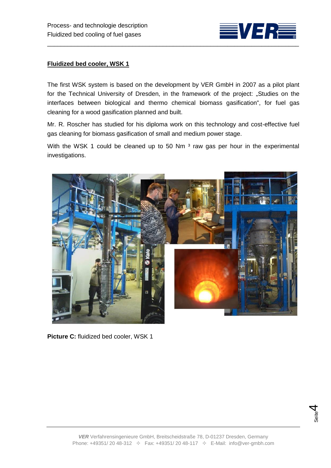

The first WSK system is based on the development by VER GmbH in 2007 as a pilot plant for the Technical University of Dresden, in the framework of the project: "Studies on the interfaces between biological and thermo chemical biomass gasification", for fuel gas cleaning for a wood gasification planned and built.

Mr. R. Roscher has studied for his diploma work on this technology and cost-effective fuel gas cleaning for biomass gasification of small and medium power stage.

With the WSK 1 could be cleaned up to 50 Nm<sup>3</sup> raw gas per hour in the experimental investigations.



**Picture C:** fluidized bed cooler, WSK 1

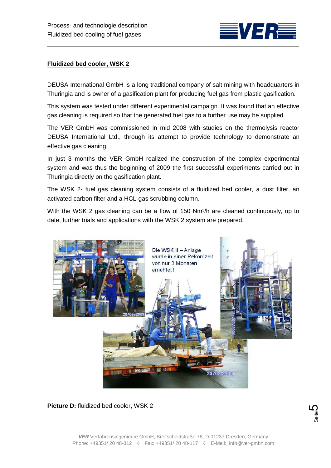

DEUSA International GmbH is a long traditional company of salt mining with headquarters in Thuringia and is owner of a gasification plant for producing fuel gas from plastic gasification.

This system was tested under different experimental campaign. It was found that an effective gas cleaning is required so that the generated fuel gas to a further use may be supplied.

The VER GmbH was commissioned in mid 2008 with studies on the thermolysis reactor DEUSA International Ltd., through its attempt to provide technology to demonstrate an effective gas cleaning.

In just 3 months the VER GmbH realized the construction of the complex experimental system and was thus the beginning of 2009 the first successful experiments carried out in Thuringia directly on the gasification plant.

The WSK 2- fuel gas cleaning system consists of a fluidized bed cooler, a dust filter, an activated carbon filter and a HCL-gas scrubbing column.

With the WSK 2 gas cleaning can be a flow of 150 Nm<sup>3</sup>/h are cleaned continuously, up to date, further trials and applications with the WSK 2 system are prepared.



**Picture D:** fluidized bed cooler, WSK 2

Seite **5**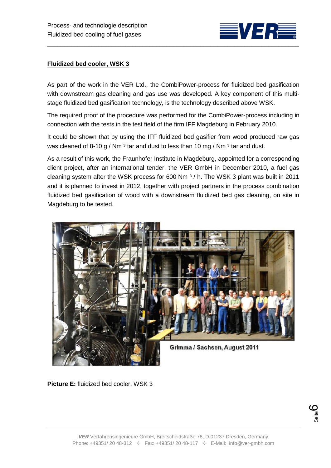

As part of the work in the VER Ltd., the CombiPower-process for fluidized bed gasification with downstream gas cleaning and gas use was developed. A key component of this multistage fluidized bed gasification technology, is the technology described above WSK.

The required proof of the procedure was performed for the CombiPower-process including in connection with the tests in the test field of the firm IFF Magdeburg in February 2010.

It could be shown that by using the IFF fluidized bed gasifier from wood produced raw gas was cleaned of 8-10 g / Nm<sup>3</sup> tar and dust to less than 10 mg / Nm<sup>3</sup> tar and dust.

As a result of this work, the Fraunhofer Institute in Magdeburg, appointed for a corresponding client project, after an international tender, the VER GmbH in December 2010, a fuel gas cleaning system after the WSK process for 600 Nm ³ / h. The WSK 3 plant was built in 2011 and it is planned to invest in 2012, together with project partners in the process combination fluidized bed gasification of wood with a downstream fluidized bed gas cleaning, on site in Magdeburg to be tested.



**Picture E:** fluidized bed cooler, WSK 3